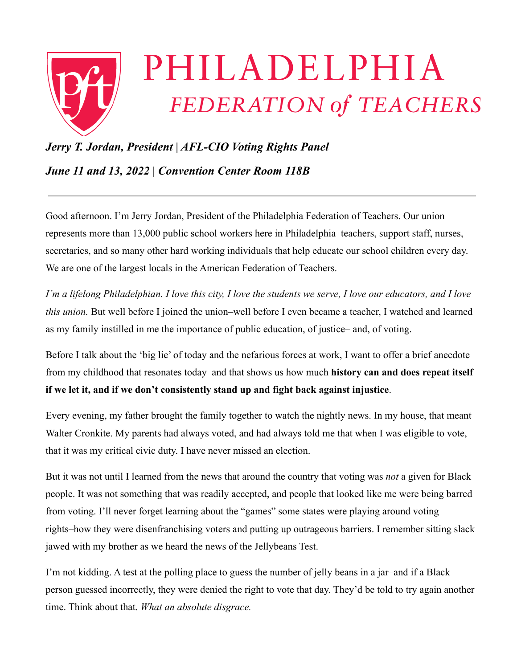

## *Jerry T. Jordan, President | AFL-CIO Voting Rights Panel*

*June 11 and 13, 2022 | Convention Center Room 118B*

Good afternoon. I'm Jerry Jordan, President of the Philadelphia Federation of Teachers. Our union represents more than 13,000 public school workers here in Philadelphia–teachers, support staff, nurses, secretaries, and so many other hard working individuals that help educate our school children every day. We are one of the largest locals in the American Federation of Teachers.

*I'm a lifelong Philadelphian. I love this city, I love the students we serve, I love our educators, and I love this union.* But well before I joined the union–well before I even became a teacher, I watched and learned as my family instilled in me the importance of public education, of justice– and, of voting.

Before I talk about the 'big lie' of today and the nefarious forces at work, I want to offer a brief anecdote from my childhood that resonates today–and that shows us how much **history can and does repeat itself if we let it, and if we don't consistently stand up and fight back against injustice**.

Every evening, my father brought the family together to watch the nightly news. In my house, that meant Walter Cronkite. My parents had always voted, and had always told me that when I was eligible to vote, that it was my critical civic duty. I have never missed an election.

But it was not until I learned from the news that around the country that voting was *not* a given for Black people. It was not something that was readily accepted, and people that looked like me were being barred from voting. I'll never forget learning about the "games" some states were playing around voting rights–how they were disenfranchising voters and putting up outrageous barriers. I remember sitting slack jawed with my brother as we heard the news of the Jellybeans Test.

I'm not kidding. A test at the polling place to guess the number of jelly beans in a jar–and if a Black person guessed incorrectly, they were denied the right to vote that day. They'd be told to try again another time. Think about that. *What an absolute disgrace.*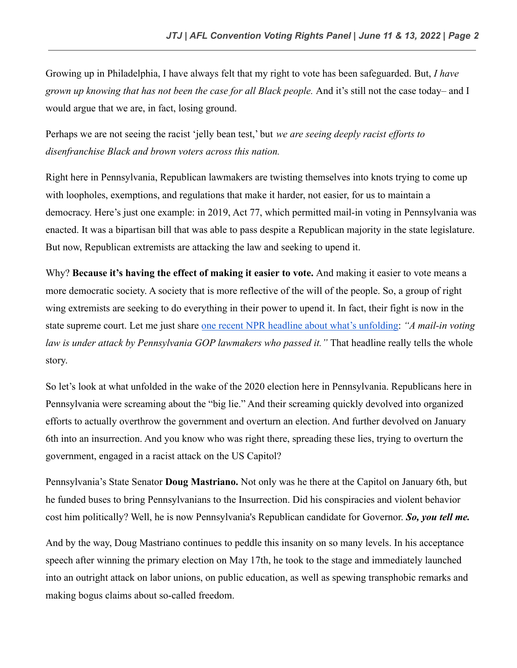Growing up in Philadelphia, I have always felt that my right to vote has been safeguarded. But, *I have grown up knowing that has not been the case for all Black people.* And it's still not the case today– and I would argue that we are, in fact, losing ground.

Perhaps we are not seeing the racist 'jelly bean test,' but *we are seeing deeply racist efforts to disenfranchise Black and brown voters across this nation.*

Right here in Pennsylvania, Republican lawmakers are twisting themselves into knots trying to come up with loopholes, exemptions, and regulations that make it harder, not easier, for us to maintain a democracy. Here's just one example: in 2019, Act 77, which permitted mail-in voting in Pennsylvania was enacted. It was a bipartisan bill that was able to pass despite a Republican majority in the state legislature. But now, Republican extremists are attacking the law and seeking to upend it.

Why? **Because it's having the effect of making it easier to vote.** And making it easier to vote means a more democratic society. A society that is more reflective of the will of the people. So, a group of right wing extremists are seeking to do everything in their power to upend it. In fact, their fight is now in the state supreme court. Let me just share one recent [NPR headline about what's unfolding:](https://www.npr.org/2022/05/16/1096943765/some-pennsylvania-lawmakers-who-helped-pass-mail-in-voting-law-now-want-it-throw) *"A mail-in voting law is under attack by Pennsylvania GOP lawmakers who passed it."* That headline really tells the whole story.

So let's look at what unfolded in the wake of the 2020 election here in Pennsylvania. Republicans here in Pennsylvania were screaming about the "big lie." And their screaming quickly devolved into organized efforts to actually overthrow the government and overturn an election. And further devolved on January 6th into an insurrection. And you know who was right there, spreading these lies, trying to overturn the government, engaged in a racist attack on the US Capitol?

Pennsylvania's State Senator **Doug Mastriano.** Not only was he there at the Capitol on January 6th, but he funded buses to bring Pennsylvanians to the Insurrection. Did his conspiracies and violent behavior cost him politically? Well, he is now Pennsylvania's Republican candidate for Governor. *So, you tell me.*

And by the way, Doug Mastriano continues to peddle this insanity on so many levels. In his acceptance speech after winning the primary election on May 17th, he took to the stage and immediately launched into an outright attack on labor unions, on public education, as well as spewing transphobic remarks and making bogus claims about so-called freedom.